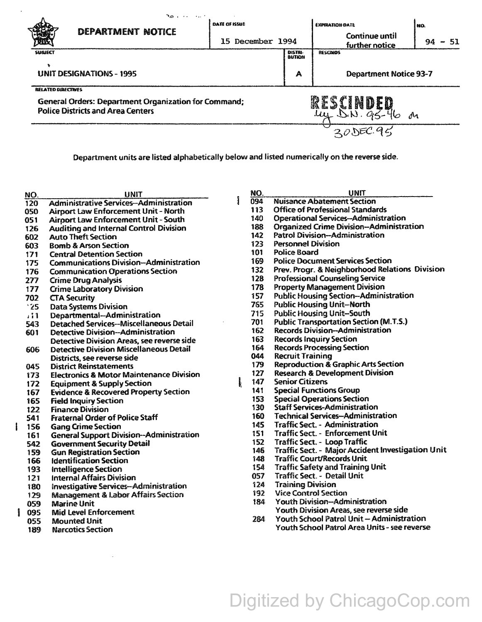|                                                                                                                                      | منسانيا والأمر    |                      |                                 |                                         |            |  |
|--------------------------------------------------------------------------------------------------------------------------------------|-------------------|----------------------|---------------------------------|-----------------------------------------|------------|--|
|                                                                                                                                      | DEPARTMENT NOTICE | DATE OF ISSUE        |                                 | <b>EXPIRATION DATE</b>                  | NO.        |  |
|                                                                                                                                      |                   | December 1994<br>15. |                                 | <b>Continue until</b><br>further notice | 94<br>- 51 |  |
| <b>SUBJECT</b>                                                                                                                       |                   |                      |                                 | <b>RESCINDS</b>                         |            |  |
| <b>UNIT DESIGNATIONS - 1995</b>                                                                                                      |                   |                      | Α                               | <b>Department Notice 93-7</b>           |            |  |
| <b>RELATED DIRECTIVES</b><br><b>General Orders: Department Organization for Command;</b><br><b>Police Districts and Area Centers</b> |                   |                      | YESCIN<br>R<br>ui.<br>$\Lambda$ |                                         |            |  |
|                                                                                                                                      |                   |                      |                                 |                                         |            |  |

Department units are listed alphabetically below and listed numerically on the reverse side.

| NO.      | <b>UNIT</b>                                         | NO. | UNIT                                                     |
|----------|-----------------------------------------------------|-----|----------------------------------------------------------|
| 120      | <b>Administrative Services-Administration</b>       | 094 | <b>Nuisance Abatement Section</b>                        |
| 050      | Airport Law Enforcement Unit - North                | 113 | <b>Office of Professional Standards</b>                  |
| 051      | Airport Law Enforcement Unit - South                | 140 | <b>Operational Services-Administration</b>               |
| 126      | <b>Auditing and Internal Control Division</b>       | 188 | <b>Organized Crime Division-Administration</b>           |
| 602      | <b>Auto Theft Section</b>                           | 142 | <b>Patrol Division-Administration</b>                    |
| 603      | <b>Bomb &amp; Arson Section</b>                     | 123 | <b>Personnel Division</b>                                |
| 171      | <b>Central Detention Section</b>                    | 101 | <b>Police Board</b>                                      |
| 175      | <b>Communications Division-Administration</b>       | 169 | <b>Police Document Services Section</b>                  |
| 176      | <b>Communication Operations Section</b>             | 132 | Prev. Progr. & Neighborhood Relations Division           |
| 277      | <b>Crime Drug Analysis</b>                          | 128 | <b>Professional Counseling Service</b>                   |
| 177      | <b>Crime Laboratory Division</b>                    | 178 | <b>Property Management Division</b>                      |
| 702      | <b>CTA Security</b>                                 | 157 | <b>Public Housing Section--Administration</b>            |
| '25      | <b>Data Systems Division</b>                        | 765 | <b>Public Housing Unit-North</b>                         |
| $\cdots$ | Departmental-Administration                         | 715 | <b>Public Housing Unit-South</b>                         |
| 543      | <b>Detached Services--Miscellaneous Detail</b>      | 701 | <b>Public Transportation Section (M.T.S.)</b>            |
| 601      | <b>Detective Division--Administration</b>           | 162 | <b>Records Division-Administration</b>                   |
|          | Detective Division Areas, see reverse side          | 163 | <b>Records Inquiry Section</b>                           |
| 606      | Detective Division Miscellaneous Detail             | 164 | <b>Records Processing Section</b>                        |
|          | Districts, see reverse side                         | 044 | <b>Recruit Training</b>                                  |
| 045      | <b>District Reinstatements</b>                      | 179 | <b>Reproduction &amp; Graphic Arts Section</b>           |
| 173      | <b>Electronics &amp; Motor Maintenance Division</b> | 127 | <b>Research &amp; Development Division</b>               |
| 172      | <b>Equipment &amp; Supply Section</b>               | 147 | <b>Senior Citizens</b>                                   |
| 167      | <b>Evidence &amp; Recovered Property Section</b>    | 141 | <b>Special Functions Group</b>                           |
| 165      | <b>Field Inquiry Section</b>                        | 153 | <b>Special Operations Section</b>                        |
| 122      | <b>Finance Division</b>                             | 130 | <b>Staff Services-Administration</b>                     |
| 541      | <b>Fraternal Order of Police Staff</b>              | 160 | <b>Technical Services-Administration</b>                 |
| 156      | <b>Gang Crime Section</b>                           | 145 | <b>Traffic Sect. - Administration</b>                    |
| 161      | <b>General Support Division--Administration</b>     | 151 | <b>Traffic Sect. - Enforcement Unit</b>                  |
| 542      | <b>Government Security Detail</b>                   | 152 | <b>Traffic Sect. - Loop Traffic</b>                      |
| 159      | <b>Gun Registration Section</b>                     | 146 | <b>Traffic Sect. - Major Accident Investigation Unit</b> |
| 166      | <b>Identification Section</b>                       | 148 | <b>Traffic Court/Records Unit</b>                        |
| 193      | <b>Intelligence Section</b>                         | 154 | <b>Traffic Safety and Training Unit</b>                  |
| 121      | <b>Internal Affairs Division</b>                    | 057 | Traffic Sect. - Detail Unit                              |
| 180      | <b>Investigative Services-Administration</b>        | 124 | <b>Training Division</b>                                 |
| 129      | <b>Management &amp; Labor Affairs Section</b>       | 192 | <b>Vice Control Section</b>                              |
| 059      | <b>Marine Unit</b>                                  | 184 | Youth Division-Administration                            |
| 095      | <b>Mid Level Enforcement</b>                        |     | Youth Division Areas, see reverse side                   |
| 055      | <b>Mounted Unit</b>                                 | 284 | Youth School Patrol Unit - Administration                |
|          |                                                     |     |                                                          |

Digitized by ChicagoCop.com

189 Narcotics Section Youth School Patrol Area Units - see reverse

 $\sim$ 

 $\mathbf{I}$ 

Î

 $\hat{\mathcal{L}}$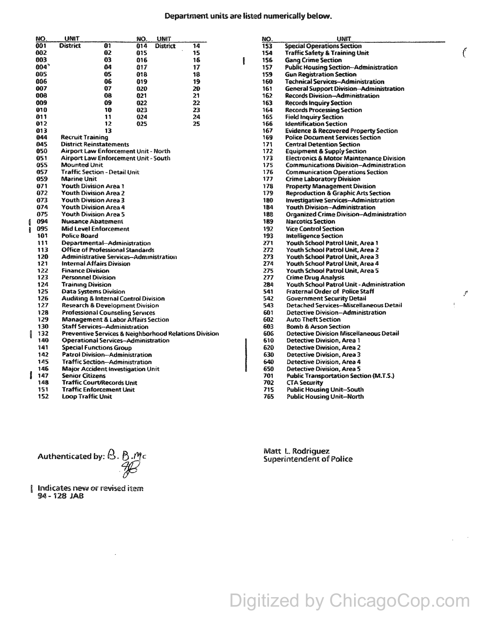NO.

 $\overline{153}$ 

154

156

157

159

160

161

162

163

164

165 166

167

169

 $171$ 

|   | NO. | UNIT                                                                                                           |                                                 | NO. | <b>UNIT</b> |    |   |  |
|---|-----|----------------------------------------------------------------------------------------------------------------|-------------------------------------------------|-----|-------------|----|---|--|
|   | 001 | <b>District</b>                                                                                                | 01                                              | 014 | District    | 14 |   |  |
|   | 002 |                                                                                                                | 02                                              | 015 |             | 15 |   |  |
|   | 003 |                                                                                                                | 03                                              | 016 |             | 16 | ł |  |
|   | 004 |                                                                                                                | 04                                              | 017 |             | 17 |   |  |
|   | 005 |                                                                                                                | 05                                              | 810 |             | 18 |   |  |
|   | 006 |                                                                                                                | 06                                              | 019 |             | 19 |   |  |
|   | 007 |                                                                                                                | 07                                              | 020 |             | 20 |   |  |
|   | 008 |                                                                                                                | 98                                              | 021 |             | 21 |   |  |
|   | 009 |                                                                                                                | 09                                              | 022 |             | 22 |   |  |
|   | 010 |                                                                                                                | 10                                              | 023 |             | 23 |   |  |
|   | 011 |                                                                                                                | 11                                              | 024 |             | 24 |   |  |
|   | 012 |                                                                                                                | 12                                              | 025 |             | 25 |   |  |
|   | 013 |                                                                                                                | 13                                              |     |             |    |   |  |
|   | 044 | <b>Recruit Training</b>                                                                                        |                                                 |     |             |    |   |  |
|   | 045 |                                                                                                                | <b>District Reinstatements</b>                  |     |             |    |   |  |
|   | 050 |                                                                                                                | Airport Law Enforcement Unit - North            |     |             |    |   |  |
|   | 051 |                                                                                                                | Airport Law Enforcement Unit - South            |     |             |    |   |  |
|   | 055 | <b>Mounted Unit</b>                                                                                            |                                                 |     |             |    |   |  |
|   | 057 |                                                                                                                | <b>Traffic Section - Detail Unit</b>            |     |             |    |   |  |
|   | 059 | Marine Unit                                                                                                    |                                                 |     |             |    |   |  |
|   | 071 |                                                                                                                | Youth Division Area 1                           |     |             |    |   |  |
|   | 072 |                                                                                                                | <b>Youth Division Area 2</b>                    |     |             |    |   |  |
|   | 073 |                                                                                                                | <b>Youth Division Area 3</b>                    |     |             |    |   |  |
|   | 074 |                                                                                                                | <b>Youth Division Area 4</b>                    |     |             |    |   |  |
|   | 075 |                                                                                                                | <b>Youth Division Area 5</b>                    |     |             |    |   |  |
| ů | 094 |                                                                                                                | <b>Nuisance Abatement</b>                       |     |             |    |   |  |
| Ř | 095 |                                                                                                                | Mid Level Enforcement                           |     |             |    |   |  |
|   | 101 | Police Board                                                                                                   |                                                 |     |             |    |   |  |
|   | 111 |                                                                                                                | Departmental-Administration                     |     |             |    |   |  |
|   | 113 |                                                                                                                | <b>Office of Professional Standards</b>         |     |             |    |   |  |
|   | 120 |                                                                                                                | <b>Administrative Services-Administration</b>   |     |             |    |   |  |
|   | 121 |                                                                                                                | Internal Affairs Division                       |     |             |    |   |  |
|   | 122 | <b>Finance Division</b>                                                                                        |                                                 |     |             |    |   |  |
|   | 123 | <b>Personnel Division</b>                                                                                      |                                                 |     |             |    |   |  |
|   | 124 | Training Division                                                                                              |                                                 |     |             |    |   |  |
|   | 125 |                                                                                                                | <b>Data Systems Division</b>                    |     |             |    |   |  |
|   | 126 |                                                                                                                | <b>Auditing &amp; Internal Control Division</b> |     |             |    |   |  |
|   | 127 |                                                                                                                | <b>Research &amp; Development Division</b>      |     |             |    |   |  |
|   | 128 | <b>Professional Counseling Services</b><br><b>Management &amp; Labor Affairs Section</b>                       |                                                 |     |             |    |   |  |
|   | 129 |                                                                                                                |                                                 |     |             |    |   |  |
|   | 130 |                                                                                                                | <b>Staff Services--Administration</b>           |     |             |    |   |  |
| I | 132 | <b>Preventive Services &amp; Neighborhood Relations Division</b><br><b>Operational Services-Administration</b> |                                                 |     |             |    |   |  |
|   | 140 |                                                                                                                |                                                 |     |             |    |   |  |
|   | 141 |                                                                                                                | <b>Special Functions Group</b>                  |     |             |    |   |  |
|   | 142 |                                                                                                                | <b>Patrol Division--Administration</b>          |     |             |    |   |  |
|   | 145 |                                                                                                                | Traffic Section-Administration                  |     |             |    |   |  |
|   | 146 |                                                                                                                | <b>Major Accident Investigation Unit</b>        |     |             |    |   |  |
| I | 147 | Senior Citizens                                                                                                |                                                 |     |             |    |   |  |
|   | 148 |                                                                                                                | Traffic Court/Records Unit                      |     |             |    |   |  |

- 151 **Traffic Enforcement Unit**
- 152 **Loop Traffic Unit**

172 **Equipment & Supply Section** 173 **Electronics & Motor Maintenance Division** 175 **Communications Division-Administration** 176 **Communication Operations Section** 177 **Crime Laboratory Division** 178 **Property Management Division** 179 **Reproduction & Graphic Arts Section** 180 Investigative Services--Administration 184 **Youth Division-Administration** 188 **Organized Crime Division-Administration** 189 **Narcotics Section** 192 **Vice Control Section** 193 **Intelligence Section** 271 Youth School Patrol Unit, Area 1 272 Youth School Patrol Unit, Area 2 273 Youth School Patrol Unit, Area 3 274 Youth School Patrol Unit, Area 4 275 Youth School Patrol Unit, Area 5 277 **Crime Drug Analysis** 284 Youth School Patrol Unit - Administration 541 Fraternal Order of Police Staff 542 **Government Security Detail** 543 **Detached Services-Miscellaneous Detail** 601 **Detective Division-Administration** 602 **Auto Theft Section F03 Bomb & Arson Section** 606 **Detective Division Miscellaneous Detail** 610 Detective Division, Area 1 620 **Detective Division, Area 2** 630 **Detective Division, Area 3** 640 **Detective Division, Area 4** 650 **Detective Division, Area 5** 701 **Public Transportation Section (M.T.S.)** 702 **CTA Security** 715 **Public Housing Unit-South Public Housing Unit-North** 765

**UNIT** 

**Public Housing Section-Administration** 

**General Support Division-Administration** 

**Evidence & Recovered Property Section** 

**Technical Services-Administration** 

**Records Division-Administration** 

**Police Document Services Section** 

ť

 $\mathcal C$ 

**Special Operations Section** 

**Gun Registration Section** 

**Records Inquiry Section** 

**Identification Section** 

**Records Processing Section Field Inquiry Section** 

**Central Detention Section** 

**Gang Crime Section** 

**Traffic Safety & Training Unit** 

Authenticated by:  $B.B.Mc$ 

Indicates new or revised item 94 - 128 JAB

Matt L. Rodriguez **Superintendent of Police** 

Digitized by ChicagoCop.com